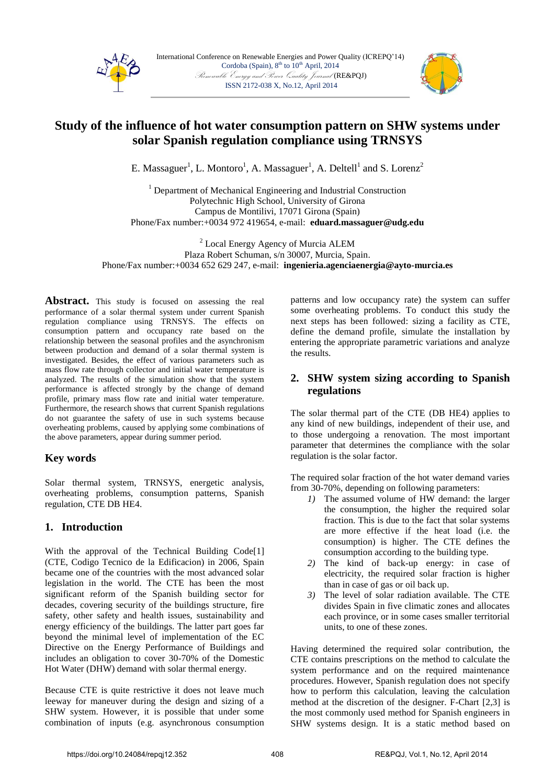



# **Study of the influence of hot water consumption pattern on SHW systems under solar Spanish regulation compliance using TRNSYS**

E. Massaguer<sup>1</sup>, L. Montoro<sup>1</sup>, A. Massaguer<sup>1</sup>, A. Deltell<sup>1</sup> and S. Lorenz<sup>2</sup>

<sup>1</sup> Department of Mechanical Engineering and Industrial Construction Polytechnic High School, University of Girona Campus de Montilivi, 17071 Girona (Spain) Phone/Fax number:+0034 972 419654, e-mail: **eduard.massaguer@udg.edu**

<sup>2</sup> Local Energy Agency of Murcia ALEM Plaza Robert Schuman, s/n 30007, Murcia, Spain. Phone/Fax number:+0034 652 629 247, e-mail: **ingenieria.agenciaenergia@ayto-murcia.es**

Abstract. This study is focused on assessing the real performance of a solar thermal system under current Spanish regulation compliance using TRNSYS. The effects on consumption pattern and occupancy rate based on the relationship between the seasonal profiles and the asynchronism between production and demand of a solar thermal system is investigated. Besides, the effect of various parameters such as mass flow rate through collector and initial water temperature is analyzed. The results of the simulation show that the system performance is affected strongly by the change of demand profile, primary mass flow rate and initial water temperature. Furthermore, the research shows that current Spanish regulations do not guarantee the safety of use in such systems because overheating problems, caused by applying some combinations of the above parameters, appear during summer period.

# **Key words**

Solar thermal system, TRNSYS, energetic analysis, overheating problems, consumption patterns, Spanish regulation, CTE DB HE4.

# **1. Introduction**

With the approval of the Technical Building Code<sup>[1]</sup> (CTE, Codigo Tecnico de la Edificacion) in 2006, Spain became one of the countries with the most advanced solar legislation in the world. The CTE has been the most significant reform of the Spanish building sector for decades, covering security of the buildings structure, fire safety, other safety and health issues, sustainability and energy efficiency of the buildings. The latter part goes far beyond the minimal level of implementation of the EC Directive on the Energy Performance of Buildings and includes an obligation to cover 30-70% of the Domestic Hot Water (DHW) demand with solar thermal energy.

Because CTE is quite restrictive it does not leave much leeway for maneuver during the design and sizing of a SHW system. However, it is possible that under some combination of inputs (e.g. asynchronous consumption patterns and low occupancy rate) the system can suffer some overheating problems. To conduct this study the next steps has been followed: sizing a facility as CTE, define the demand profile, simulate the installation by entering the appropriate parametric variations and analyze the results.

# **2. SHW system sizing according to Spanish regulations**

The solar thermal part of the CTE (DB HE4) applies to any kind of new buildings, independent of their use, and to those undergoing a renovation. The most important parameter that determines the compliance with the solar regulation is the solar factor.

The required solar fraction of the hot water demand varies from 30-70%, depending on following parameters:

- *1)* The assumed volume of HW demand: the larger the consumption, the higher the required solar fraction. This is due to the fact that solar systems are more effective if the heat load (i.e. the consumption) is higher. The CTE defines the consumption according to the building type.
- *2)* The kind of back-up energy: in case of electricity, the required solar fraction is higher than in case of gas or oil back up.
- *3)* The level of solar radiation available. The CTE divides Spain in five climatic zones and allocates each province, or in some cases smaller territorial units, to one of these zones.

Having determined the required solar contribution, the CTE contains prescriptions on the method to calculate the system performance and on the required maintenance procedures. However, Spanish regulation does not specify how to perform this calculation, leaving the calculation method at the discretion of the designer. F-Chart [2,3] is the most commonly used method for Spanish engineers in SHW systems design. It is a static method based on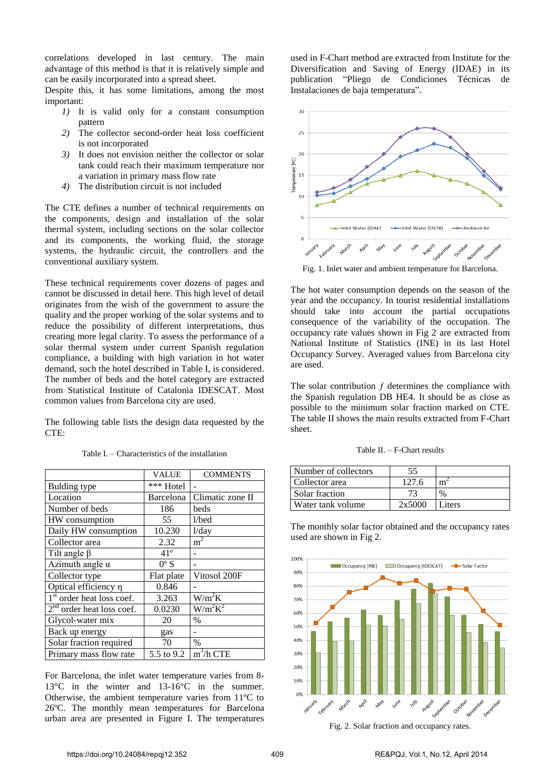correlations developed in last century. The main advantage of this method is that it is relatively simple and can be easily incorporated into a spread sheet.

Despite this, it has some limitations, among the most important:

- *1)* It is valid only for a constant consumption pattern
- *2)* The collector second-order heat loss coefficient is not incorporated
- *3)* It does not envision neither the collector or solar tank could reach their maximum temperature nor a variation in primary mass flow rate
- *4)* The distribution circuit is not included

The CTE defines a number of technical requirements on the components, design and installation of the solar thermal system, including sections on the solar collector and its components, the working fluid, the storage systems, the hydraulic circuit, the controllers and the conventional auxiliary system.

These technical requirements cover dozens of pages and cannot be discussed in detail here. This high level of detail originates from the wish of the government to assure the quality and the proper working of the solar systems and to reduce the possibility of different interpretations, thus creating more legal clarity. To assess the performance of a solar thermal system under current Spanish regulation compliance, a building with high variation in hot water demand, such the hotel described in Table I, is considered. The number of beds and the hotel category are extracted from Statistical Institute of Catalonia IDESCAT. Most common values from Barcelona city are used.

The following table lists the design data requested by the  $CTF$ 

|                             | VALUE         | <b>COMMENTS</b>        |
|-----------------------------|---------------|------------------------|
| <b>Bulding type</b>         | *** Hotel     |                        |
| Location                    | Barcelona     | Climatic zone II       |
| Number of beds              | 186           | beds                   |
| HW consumption              | 55            | $1/\text{bed}$         |
| Daily HW consumption        | 10.230        | $1$ /day               |
| Collector area              | 2.32          | m <sup>2</sup>         |
| Tilt angle $\beta$          | $41^{\circ}$  |                        |
| Azimuth angle $\alpha$      | $0^{\circ}$ S |                        |
| Collector type              | Flat plate    | Vitosol 200F           |
| Optical efficiency η        | 0.846         |                        |
| $1st$ order heat loss coef. | 3.263         | $W/m^2K$               |
| $2nd$ order heat loss coef. | 0.0230        | $W/m^2K^2$             |
| Glycol-water mix            | 20            | $\frac{0}{0}$          |
| Back up energy              | gas           |                        |
| Solar fraction required     | 70            | $\frac{0}{0}$          |
| Primary mass flow rate      | 5.5 to 9.2    | $\overline{m^3/h}$ CTE |

Table I. – Characteristics of the installation

For Barcelona, the inlet water temperature varies from 8- 13°C in the winter and 13-16°C in the summer. Otherwise, the ambient temperature varies from 11ºC to 26ºC. The monthly mean temperatures for Barcelona urban area are presented in Figure I. The temperatures

used in F-Chart method are extracted from Institute for the Diversification and Saving of Energy (IDAE) in its publication "Pliego de Condiciones Técnicas de Instalaciones de baja temperatura".



Fig. 1. Inlet water and ambient temperature for Barcelona.

The hot water consumption depends on the season of the year and the occupancy. In tourist residential installations should take into account the partial occupations consequence of the variability of the occupation. The occupancy rate values shown in Fig 2 are extracted from National Institute of Statistics (INE) in its last Hotel Occupancy Survey. Averaged values from Barcelona city are used.

The solar contribution  $f$  determines the compliance with the Spanish regulation DB HE4. It should be as close as possible to the minimum solar fraction marked on CTE. The table II shows the main results extracted from F-Chart sheet.

| Number of collectors | 55     |        |
|----------------------|--------|--------|
| Collector area       | 127.6  |        |
| Solar fraction       |        | $\%$   |
| Water tank volume    | 2x5000 | Liters |

The monthly solar factor obtained and the occupancy rates used are shown in Fig 2.



Fig. 2. Solar fraction and occupancy rates.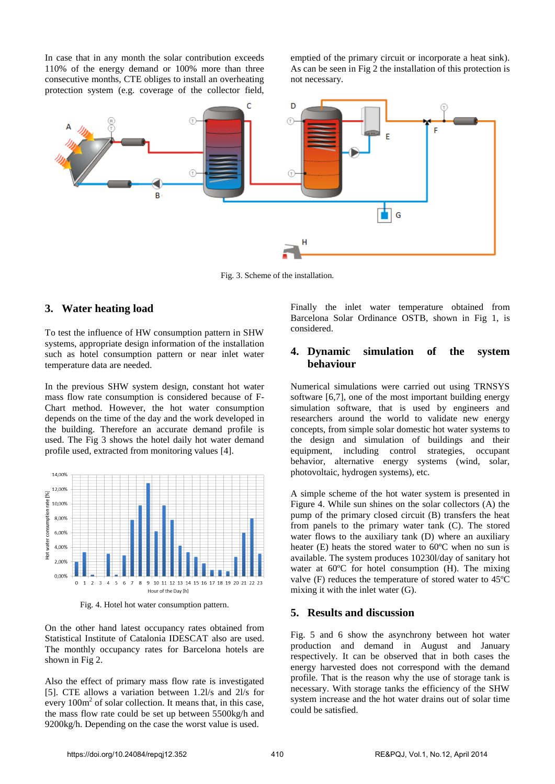In case that in any month the solar contribution exceeds 110% of the energy demand or 100% more than three consecutive months, CTE obliges to install an overheating protection system (e.g. coverage of the collector field,

emptied of the primary circuit or incorporate a heat sink). As can be seen in Fig 2 the installation of this protection is not necessary.



Fig. 3. Scheme of the installation.

## **3. Water heating load**

To test the influence of HW consumption pattern in SHW systems, appropriate design information of the installation such as hotel consumption pattern or near inlet water temperature data are needed.

In the previous SHW system design, constant hot water mass flow rate consumption is considered because of F-Chart method. However, the hot water consumption depends on the time of the day and the work developed in the building. Therefore an accurate demand profile is used. The Fig 3 shows the hotel daily hot water demand profile used, extracted from monitoring values [4].



Fig. 4. Hotel hot water consumption pattern.

On the other hand latest occupancy rates obtained from Statistical Institute of Catalonia IDESCAT also are used. The monthly occupancy rates for Barcelona hotels are shown in Fig 2.

Also the effect of primary mass flow rate is investigated [5]. CTE allows a variation between 1.2l/s and 2l/s for every  $100m<sup>2</sup>$  of solar collection. It means that, in this case, the mass flow rate could be set up between 5500kg/h and 9200kg/h. Depending on the case the worst value is used.

Finally the inlet water temperature obtained from Barcelona Solar Ordinance OSTB, shown in Fig 1, is considered.

## **4. Dynamic simulation of the system behaviour**

Numerical simulations were carried out using TRNSYS software [6,7], one of the most important building energy simulation software, that is used by engineers and researchers around the world to validate new energy concepts, from simple solar domestic hot water systems to the design and simulation of buildings and their equipment, including control strategies, occupant behavior, alternative energy systems (wind, solar, photovoltaic, hydrogen systems), etc.

A simple scheme of the hot water system is presented in Figure 4. While sun shines on the solar collectors (A) the pump of the primary closed circuit (B) transfers the heat from panels to the primary water tank (C). The stored water flows to the auxiliary tank (D) where an auxiliary heater (E) heats the stored water to 60ºC when no sun is available. The system produces 10230l/day of sanitary hot water at 60ºC for hotel consumption (H). The mixing valve (F) reduces the temperature of stored water to 45ºC mixing it with the inlet water (G).

#### **5. Results and discussion**

Fig. 5 and 6 show the asynchrony between hot water production and demand in August and January respectively. It can be observed that in both cases the energy harvested does not correspond with the demand profile. That is the reason why the use of storage tank is necessary. With storage tanks the efficiency of the SHW system increase and the hot water drains out of solar time could be satisfied.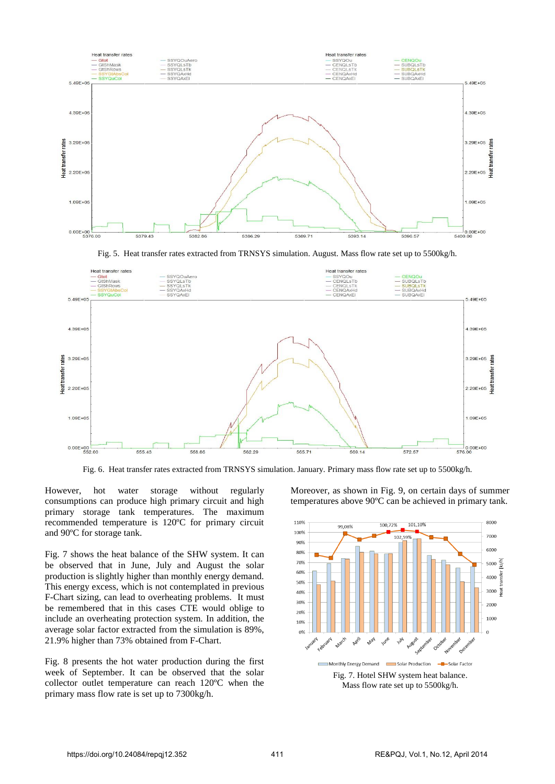

Fig. 5. Heat transfer rates extracted from TRNSYS simulation. August. Mass flow rate set up to 5500kg/h.



Fig. 6. Heat transfer rates extracted from TRNSYS simulation. January. Primary mass flow rate set up to 5500kg/h.

However, hot water storage without regularly consumptions can produce high primary circuit and high primary storage tank temperatures. The maximum recommended temperature is 120ºC for primary circuit and 90ºC for storage tank.

Fig. 7 shows the heat balance of the SHW system. It can be observed that in June, July and August the solar production is slightly higher than monthly energy demand. This energy excess, which is not contemplated in previous F-Chart sizing, can lead to overheating problems. It must be remembered that in this cases CTE would oblige to include an overheating protection system. In addition, the average solar factor extracted from the simulation is 89%, 21.9% higher than 73% obtained from F-Chart.

Fig. 8 presents the hot water production during the first week of September. It can be observed that the solar collector outlet temperature can reach 120ºC when the primary mass flow rate is set up to 7300kg/h.

Moreover, as shown in Fig. 9, on certain days of summer temperatures above 90ºC can be achieved in primary tank.



Mass flow rate set up to 5500kg/h.